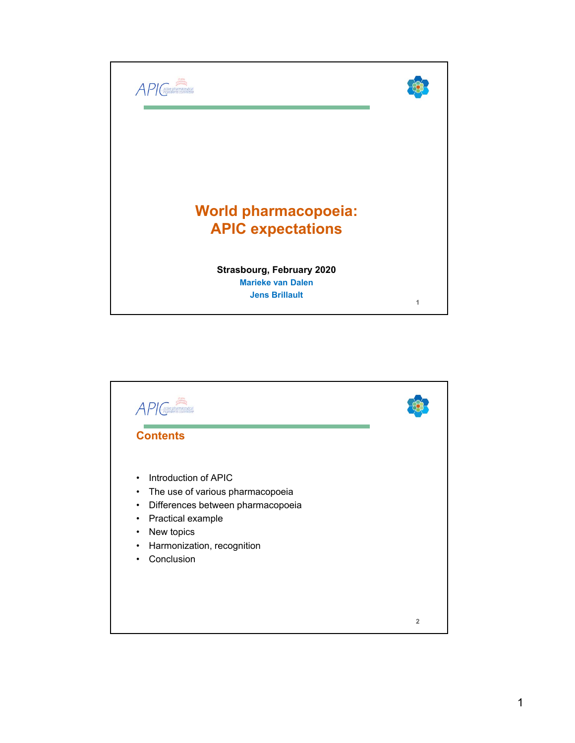

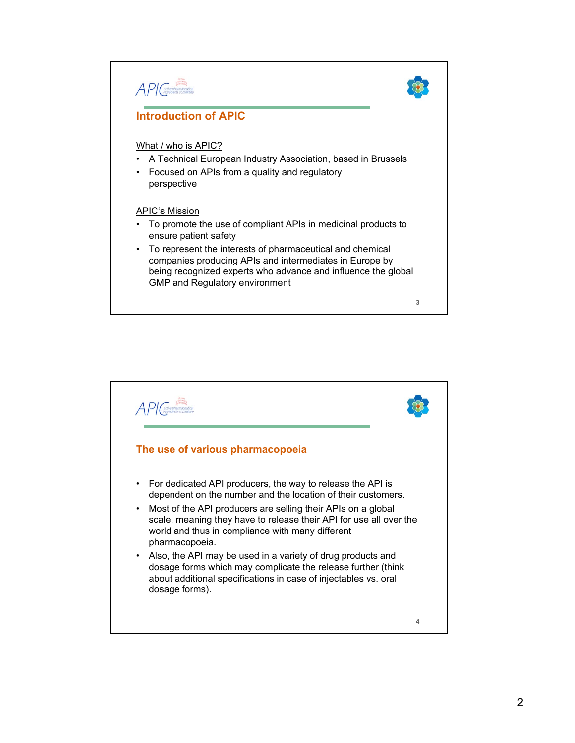

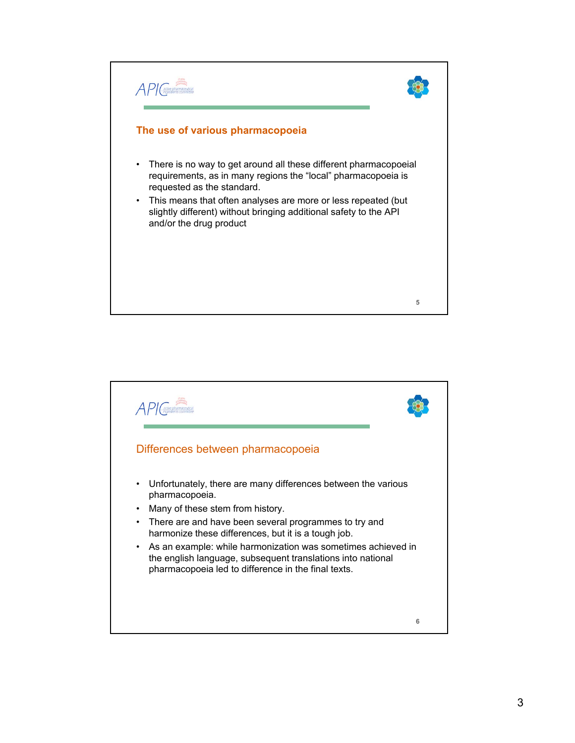

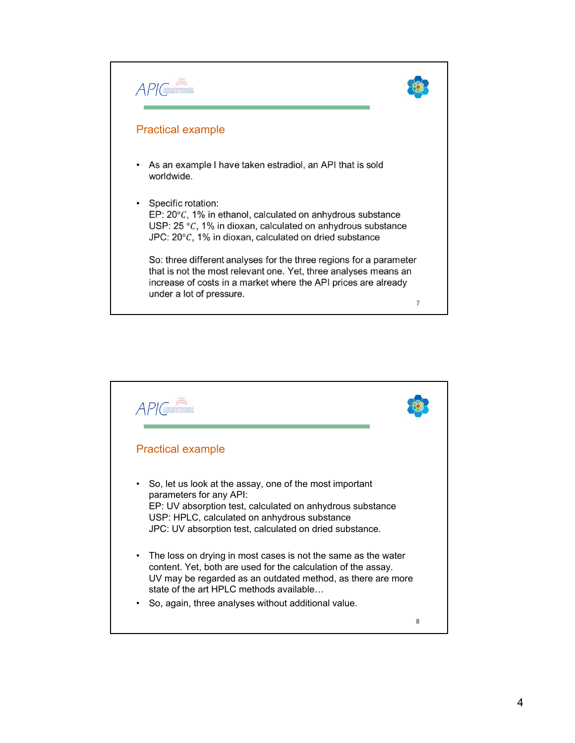

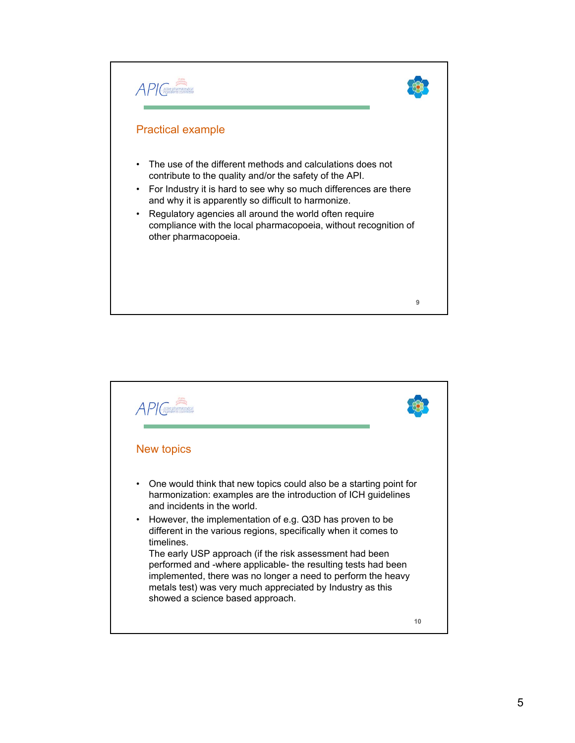![](_page_4_Picture_0.jpeg)

![](_page_4_Picture_1.jpeg)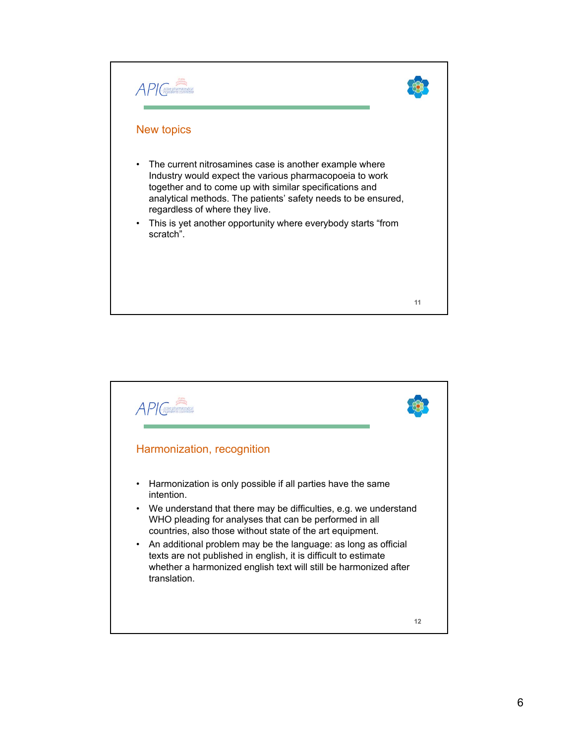![](_page_5_Picture_0.jpeg)

![](_page_5_Picture_1.jpeg)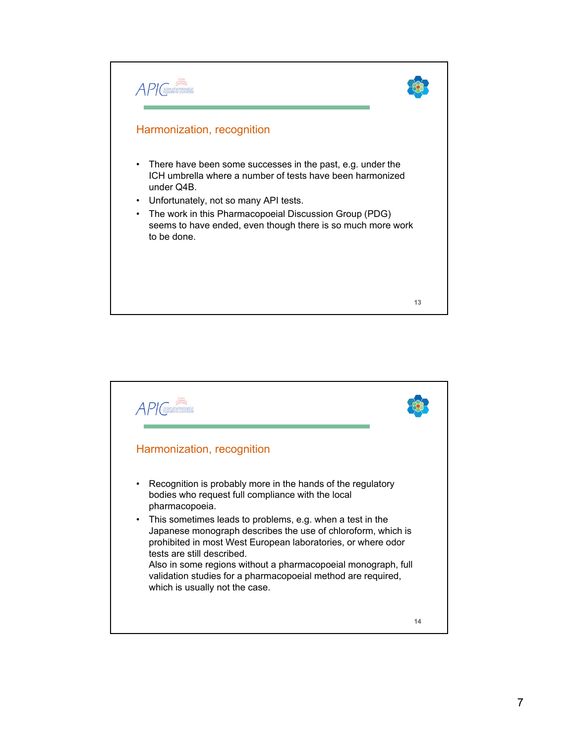![](_page_6_Picture_0.jpeg)

![](_page_6_Picture_1.jpeg)